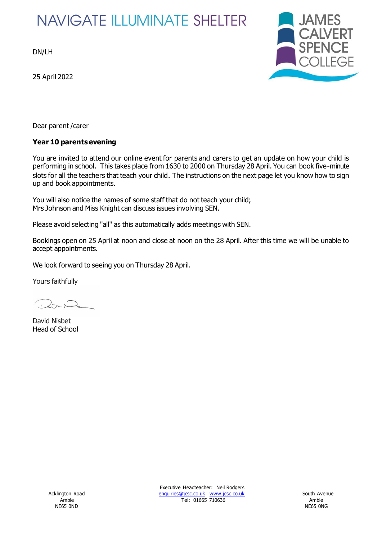# **NAVIGATE ILLUMINATE SHELTER**

DN/LH

25 April 2022



Dear parent /carer

# **Year 10 parents evening**

You are invited to attend our online event for parents and carers to get an update on how your child is performing in school. This takes place from 1630 to 2000 on Thursday 28 April. You can book five-minute slots for all the teachers that teach your child. The instructions on the next page let you know how to sign up and book appointments.

You will also notice the names of some staff that do not teach your child; Mrs Johnson and Miss Knight can discuss issues involving SEN.

Please avoid selecting "all" as this automatically adds meetings with SEN.

Bookings open on 25 April at noon and close at noon on the 28 April. After this time we will be unable to accept appointments.

We look forward to seeing you on Thursday 28 April.

Yours faithfully

David Nisbet Head of School